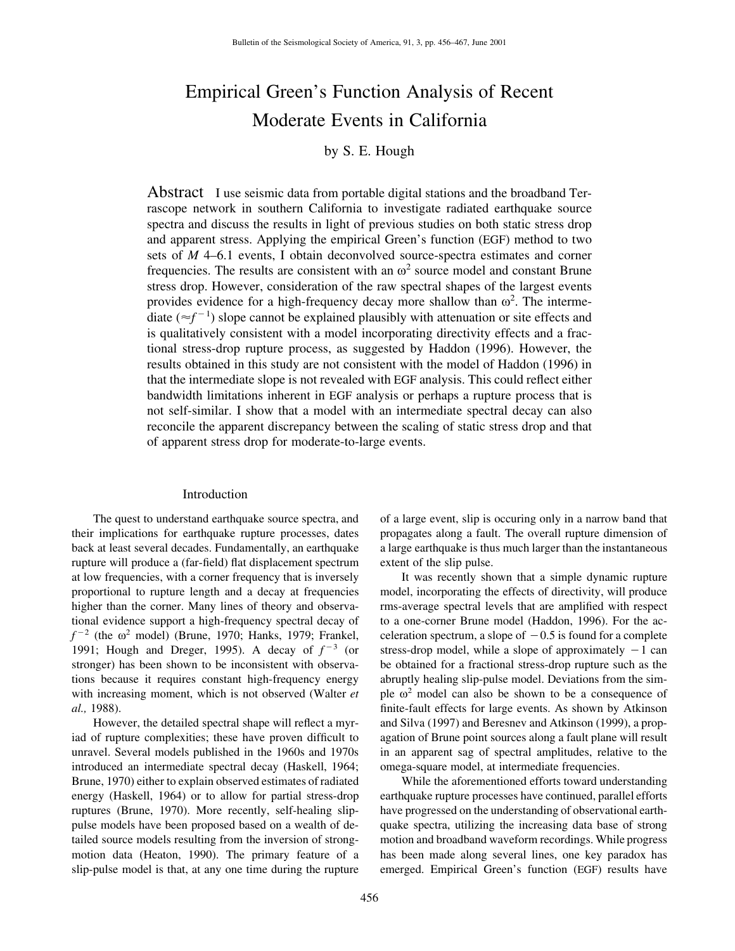# Empirical Green's Function Analysis of Recent Moderate Events in California

# by S. E. Hough

Abstract I use seismic data from portable digital stations and the broadband Terrascope network in southern California to investigate radiated earthquake source spectra and discuss the results in light of previous studies on both static stress drop and apparent stress. Applying the empirical Green's function (EGF) method to two sets of *M* 4–6.1 events, I obtain deconvolved source-spectra estimates and corner frequencies. The results are consistent with an  $\omega^2$  source model and constant Brune stress drop. However, consideration of the raw spectral shapes of the largest events provides evidence for a high-frequency decay more shallow than  $\omega^2$ . The intermediate  $(\approx f^{-1})$  slope cannot be explained plausibly with attenuation or site effects and is qualitatively consistent with a model incorporating directivity effects and a fractional stress-drop rupture process, as suggested by Haddon (1996). However, the results obtained in this study are not consistent with the model of Haddon (1996) in that the intermediate slope is not revealed with EGF analysis. This could reflect either bandwidth limitations inherent in EGF analysis or perhaps a rupture process that is not self-similar. I show that a model with an intermediate spectral decay can also reconcile the apparent discrepancy between the scaling of static stress drop and that of apparent stress drop for moderate-to-large events.

## Introduction

The quest to understand earthquake source spectra, and their implications for earthquake rupture processes, dates back at least several decades. Fundamentally, an earthquake rupture will produce a (far-field) flat displacement spectrum at low frequencies, with a corner frequency that is inversely proportional to rupture length and a decay at frequencies higher than the corner. Many lines of theory and observational evidence support a high-frequency spectral decay of  $f^{-2}$  (the  $\omega^2$  model) (Brune, 1970; Hanks, 1979; Frankel, 1991; Hough and Dreger, 1995). A decay of  $f^{-3}$  (or stronger) has been shown to be inconsistent with observations because it requires constant high-frequency energy with increasing moment, which is not observed (Walter *et al.,* 1988).

However, the detailed spectral shape will reflect a myriad of rupture complexities; these have proven difficult to unravel. Several models published in the 1960s and 1970s introduced an intermediate spectral decay (Haskell, 1964; Brune, 1970) either to explain observed estimates of radiated energy (Haskell, 1964) or to allow for partial stress-drop ruptures (Brune, 1970). More recently, self-healing slippulse models have been proposed based on a wealth of detailed source models resulting from the inversion of strongmotion data (Heaton, 1990). The primary feature of a slip-pulse model is that, at any one time during the rupture of a large event, slip is occuring only in a narrow band that propagates along a fault. The overall rupture dimension of a large earthquake is thus much larger than the instantaneous extent of the slip pulse.

It was recently shown that a simple dynamic rupture model, incorporating the effects of directivity, will produce rms-average spectral levels that are amplified with respect to a one-corner Brune model (Haddon, 1996). For the acceleration spectrum, a slope of  $-0.5$  is found for a complete stress-drop model, while a slope of approximately  $-1$  can be obtained for a fractional stress-drop rupture such as the abruptly healing slip-pulse model. Deviations from the simple  $\omega^2$  model can also be shown to be a consequence of finite-fault effects for large events. As shown by Atkinson and Silva (1997) and Beresnev and Atkinson (1999), a propagation of Brune point sources along a fault plane will result in an apparent sag of spectral amplitudes, relative to the omega-square model, at intermediate frequencies.

While the aforementioned efforts toward understanding earthquake rupture processes have continued, parallel efforts have progressed on the understanding of observational earthquake spectra, utilizing the increasing data base of strong motion and broadband waveform recordings. While progress has been made along several lines, one key paradox has emerged. Empirical Green's function (EGF) results have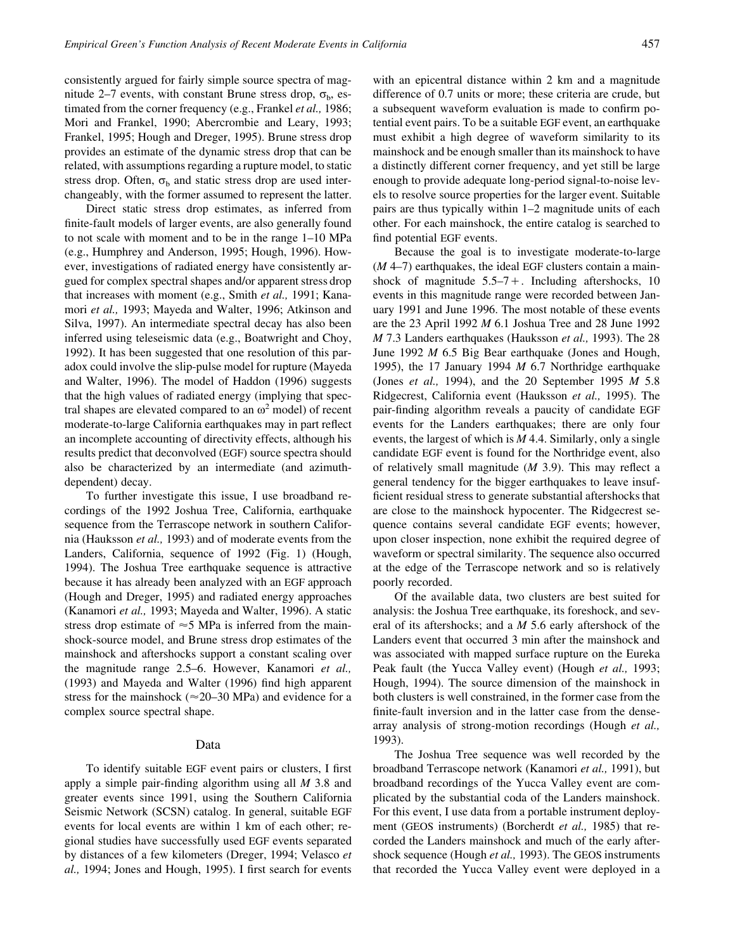consistently argued for fairly simple source spectra of magnitude 2–7 events, with constant Brune stress drop,  $\sigma_{\rm b}$ , estimated from the corner frequency (e.g., Frankel *et al.,* 1986; Mori and Frankel, 1990; Abercrombie and Leary, 1993; Frankel, 1995; Hough and Dreger, 1995). Brune stress drop provides an estimate of the dynamic stress drop that can be related, with assumptions regarding a rupture model, to static stress drop. Often,  $\sigma_b$  and static stress drop are used interchangeably, with the former assumed to represent the latter.

Direct static stress drop estimates, as inferred from finite-fault models of larger events, are also generally found to not scale with moment and to be in the range 1–10 MPa (e.g., Humphrey and Anderson, 1995; Hough, 1996). However, investigations of radiated energy have consistently argued for complex spectral shapes and/or apparent stress drop that increases with moment (e.g., Smith *et al.,* 1991; Kanamori *et al.,* 1993; Mayeda and Walter, 1996; Atkinson and Silva, 1997). An intermediate spectral decay has also been inferred using teleseismic data (e.g., Boatwright and Choy, 1992). It has been suggested that one resolution of this paradox could involve the slip-pulse model for rupture (Mayeda and Walter, 1996). The model of Haddon (1996) suggests that the high values of radiated energy (implying that spectral shapes are elevated compared to an  $\omega^2$  model) of recent moderate-to-large California earthquakes may in part reflect an incomplete accounting of directivity effects, although his results predict that deconvolved (EGF) source spectra should also be characterized by an intermediate (and azimuthdependent) decay.

To further investigate this issue, I use broadband recordings of the 1992 Joshua Tree, California, earthquake sequence from the Terrascope network in southern California (Hauksson *et al.,* 1993) and of moderate events from the Landers, California, sequence of 1992 (Fig. 1) (Hough, 1994). The Joshua Tree earthquake sequence is attractive because it has already been analyzed with an EGF approach (Hough and Dreger, 1995) and radiated energy approaches (Kanamori *et al.,* 1993; Mayeda and Walter, 1996). A static stress drop estimate of  $\approx$  5 MPa is inferred from the mainshock-source model, and Brune stress drop estimates of the mainshock and aftershocks support a constant scaling over the magnitude range 2.5–6. However, Kanamori *et al.,* (1993) and Mayeda and Walter (1996) find high apparent stress for the mainshock ( $\approx$ 20–30 MPa) and evidence for a complex source spectral shape.

#### Data

To identify suitable EGF event pairs or clusters, I first apply a simple pair-finding algorithm using all *M* 3.8 and greater events since 1991, using the Southern California Seismic Network (SCSN) catalog. In general, suitable EGF events for local events are within 1 km of each other; regional studies have successfully used EGF events separated by distances of a few kilometers (Dreger, 1994; Velasco *et al.,* 1994; Jones and Hough, 1995). I first search for events with an epicentral distance within 2 km and a magnitude difference of 0.7 units or more; these criteria are crude, but a subsequent waveform evaluation is made to confirm potential event pairs. To be a suitable EGF event, an earthquake must exhibit a high degree of waveform similarity to its mainshock and be enough smaller than its mainshock to have a distinctly different corner frequency, and yet still be large enough to provide adequate long-period signal-to-noise levels to resolve source properties for the larger event. Suitable pairs are thus typically within 1–2 magnitude units of each other. For each mainshock, the entire catalog is searched to find potential EGF events.

Because the goal is to investigate moderate-to-large (*M* 4–7) earthquakes, the ideal EGF clusters contain a mainshock of magnitude  $5.5-7+$ . Including aftershocks, 10 events in this magnitude range were recorded between January 1991 and June 1996. The most notable of these events are the 23 April 1992 *M* 6.1 Joshua Tree and 28 June 1992 *M* 7.3 Landers earthquakes (Hauksson *et al.,* 1993). The 28 June 1992 *M* 6.5 Big Bear earthquake (Jones and Hough, 1995), the 17 January 1994 *M* 6.7 Northridge earthquake (Jones *et al.,* 1994), and the 20 September 1995 *M* 5.8 Ridgecrest, California event (Hauksson *et al.,* 1995). The pair-finding algorithm reveals a paucity of candidate EGF events for the Landers earthquakes; there are only four events, the largest of which is *M* 4.4. Similarly, only a single candidate EGF event is found for the Northridge event, also of relatively small magnitude (*M* 3.9). This may reflect a general tendency for the bigger earthquakes to leave insufficient residual stress to generate substantial aftershocks that are close to the mainshock hypocenter. The Ridgecrest sequence contains several candidate EGF events; however, upon closer inspection, none exhibit the required degree of waveform or spectral similarity. The sequence also occurred at the edge of the Terrascope network and so is relatively poorly recorded.

Of the available data, two clusters are best suited for analysis: the Joshua Tree earthquake, its foreshock, and several of its aftershocks; and a *M* 5.6 early aftershock of the Landers event that occurred 3 min after the mainshock and was associated with mapped surface rupture on the Eureka Peak fault (the Yucca Valley event) (Hough *et al.,* 1993; Hough, 1994). The source dimension of the mainshock in both clusters is well constrained, in the former case from the finite-fault inversion and in the latter case from the densearray analysis of strong-motion recordings (Hough *et al.,* 1993).

The Joshua Tree sequence was well recorded by the broadband Terrascope network (Kanamori *et al.,* 1991), but broadband recordings of the Yucca Valley event are complicated by the substantial coda of the Landers mainshock. For this event, I use data from a portable instrument deployment (GEOS instruments) (Borcherdt *et al.,* 1985) that recorded the Landers mainshock and much of the early aftershock sequence (Hough *et al.,* 1993). The GEOS instruments that recorded the Yucca Valley event were deployed in a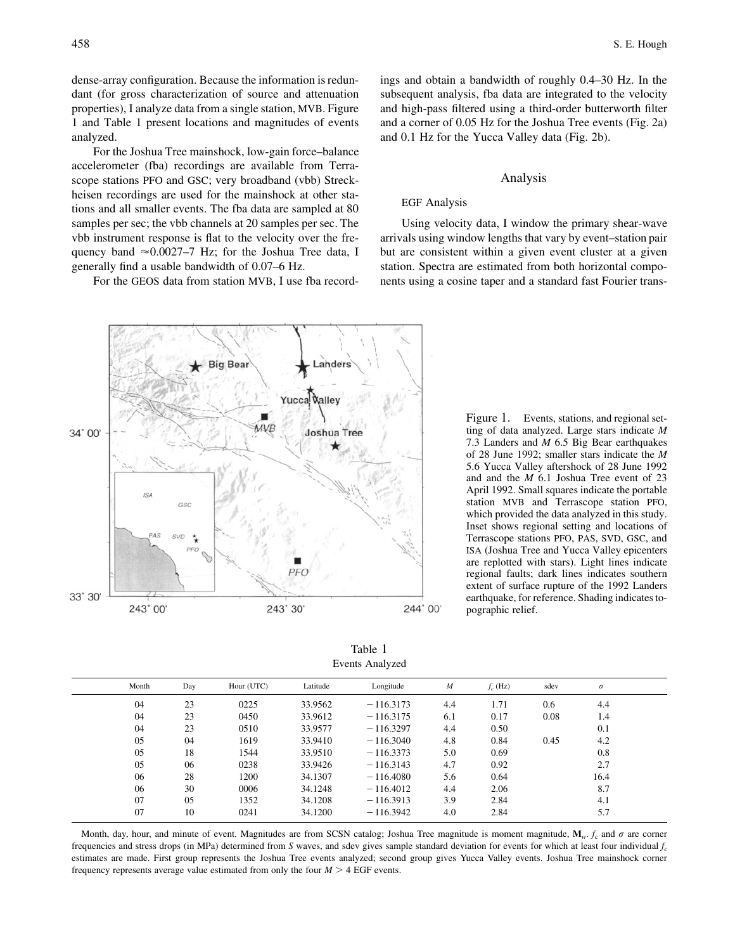dense-array configuration. Because the information is redundant (for gross characterization of source and attenuation properties), I analyze data from a single station, MVB. Figure 1 and Table 1 present locations and magnitudes of events analyzed.

For the Joshua Tree mainshock, low-gain force–balance accelerometer (fba) recordings are available from Terrascope stations PFO and GSC; very broadband (vbb) Streckheisen recordings are used for the mainshock at other stations and all smaller events. The fba data are sampled at 80 samples per sec; the vbb channels at 20 samples per sec. The vbb instrument response is flat to the velocity over the frequency band  $\approx 0.0027-7$  Hz; for the Joshua Tree data, I generally find a usable bandwidth of 0.07–6 Hz.

For the GEOS data from station MVB, I use fba record-

ings and obtain a bandwidth of roughly 0.4–30 Hz. In the subsequent analysis, fba data are integrated to the velocity and high-pass filtered using a third-order butterworth filter and a corner of 0.05 Hz for the Joshua Tree events (Fig. 2a) and 0.1 Hz for the Yucca Valley data (Fig. 2b).

### Analysis

#### EGF Analysis

Using velocity data, I window the primary shear-wave arrivals using window lengths that vary by event–station pair but are consistent within a given event cluster at a given station. Spectra are estimated from both horizontal components using a cosine taper and a standard fast Fourier trans-

Figure 1. Events, stations, and regional setting of data analyzed. Large stars indicate *M* 7.3 Landers and *M* 6.5 Big Bear earthquakes of 28 June 1992; smaller stars indicate the *M* 5.6 Yucca Valley aftershock of 28 June 1992 and and the *M* 6.1 Joshua Tree event of 23 April 1992. Small squares indicate the portable station MVB and Terrascope station PFO, which provided the data analyzed in this study. Inset shows regional setting and locations of Terrascope stations PFO, PAS, SVD, GSC, and ISA (Joshua Tree and Yucca Valley epicenters are replotted with stars). Light lines indicate regional faults; dark lines indicates southern extent of surface rupture of the 1992 Landers earthquake, for reference. Shading indicates topographic relief.

Table 1 Events Analyzed

| Month | Day | Hour (UTC) | Latitude | Longitude   | $\boldsymbol{M}$ | $f_c$ (Hz) | sdev | $\sigma$ |  |
|-------|-----|------------|----------|-------------|------------------|------------|------|----------|--|
| 04    | 23  | 0225       | 33.9562  | $-116.3173$ | 4.4              | 1.71       | 0.6  | 4.4      |  |
| 04    | 23  | 0450       | 33.9612  | $-116.3175$ | 6.1              | 0.17       | 0.08 | 1.4      |  |
| 04    | 23  | 0510       | 33.9577  | $-116.3297$ | 4.4              | 0.50       |      | 0.1      |  |
| 05    | 04  | 1619       | 33.9410  | $-116.3040$ | 4.8              | 0.84       | 0.45 | 4.2      |  |
| 05    | 18  | 1544       | 33.9510  | $-116.3373$ | 5.0              | 0.69       |      | 0.8      |  |
| 05    | 06  | 0238       | 33.9426  | $-116.3143$ | 4.7              | 0.92       |      | 2.7      |  |
| 06    | 28  | 1200       | 34.1307  | $-116.4080$ | 5.6              | 0.64       |      | 16.4     |  |
| 06    | 30  | 0006       | 34.1248  | $-116.4012$ | 4.4              | 2.06       |      | 8.7      |  |
| 07    | 05  | 1352       | 34.1208  | $-116.3913$ | 3.9              | 2.84       |      | 4.1      |  |
| 07    | 10  | 0241       | 34.1200  | $-116.3942$ | 4.0              | 2.84       |      | 5.7      |  |
|       |     |            |          |             |                  |            |      |          |  |

Month, day, hour, and minute of event. Magnitudes are from SCSN catalog; Joshua Tree magnitude is moment magnitude,  $M_w$ .  $f_c$  and  $\sigma$  are corner frequencies and stress drops (in MPa) determined from *S* waves, and sdev gives sample standard deviation for events for which at least four individual  $f_c$ estimates are made. First group represents the Joshua Tree events analyzed; second group gives Yucca Valley events. Joshua Tree mainshock corner frequency represents average value estimated from only the four  $M > 4$  EGF events.

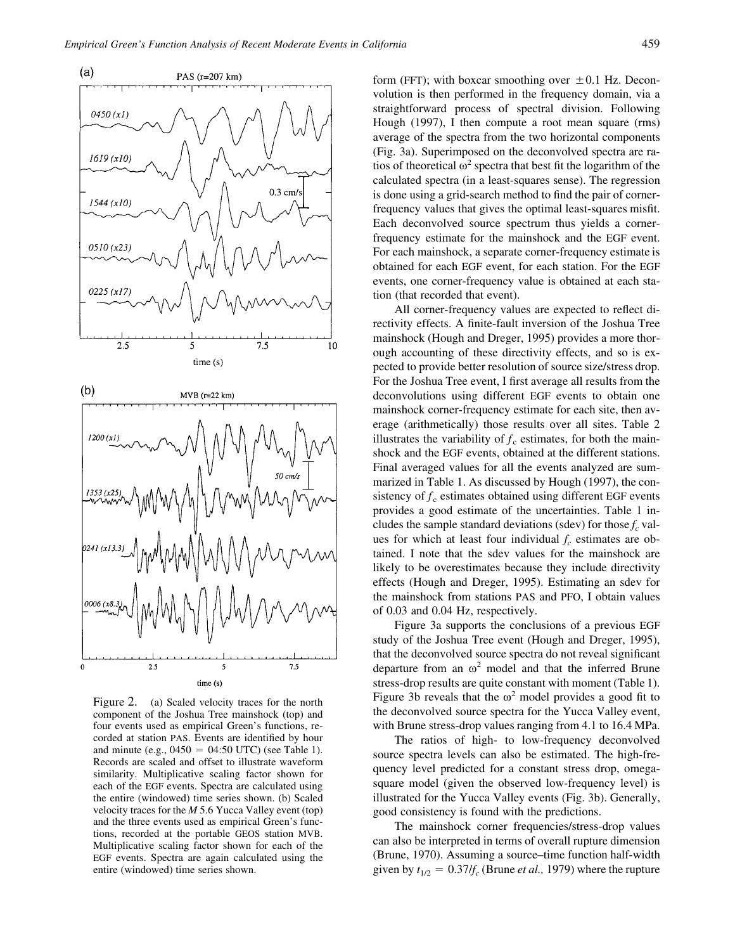

Figure 2. (a) Scaled velocity traces for the north component of the Joshua Tree mainshock (top) and four events used as empirical Green's functions, recorded at station PAS. Events are identified by hour and minute (e.g.,  $0450 = 04:50$  UTC) (see Table 1). Records are scaled and offset to illustrate waveform similarity. Multiplicative scaling factor shown for each of the EGF events. Spectra are calculated using the entire (windowed) time series shown. (b) Scaled velocity traces for the *M* 5.6 Yucca Valley event (top) and the three events used as empirical Green's functions, recorded at the portable GEOS station MVB. Multiplicative scaling factor shown for each of the EGF events. Spectra are again calculated using the entire (windowed) time series shown.

form (FFT); with boxcar smoothing over  $\pm 0.1$  Hz. Deconvolution is then performed in the frequency domain, via a straightforward process of spectral division. Following Hough (1997), I then compute a root mean square (rms) average of the spectra from the two horizontal components (Fig. 3a). Superimposed on the deconvolved spectra are ratios of theoretical  $\omega^2$  spectra that best fit the logarithm of the calculated spectra (in a least-squares sense). The regression is done using a grid-search method to find the pair of cornerfrequency values that gives the optimal least-squares misfit. Each deconvolved source spectrum thus yields a cornerfrequency estimate for the mainshock and the EGF event. For each mainshock, a separate corner-frequency estimate is obtained for each EGF event, for each station. For the EGF events, one corner-frequency value is obtained at each station (that recorded that event).

All corner-frequency values are expected to reflect directivity effects. A finite-fault inversion of the Joshua Tree mainshock (Hough and Dreger, 1995) provides a more thorough accounting of these directivity effects, and so is expected to provide better resolution of source size/stress drop. For the Joshua Tree event, I first average all results from the deconvolutions using different EGF events to obtain one mainshock corner-frequency estimate for each site, then average (arithmetically) those results over all sites. Table 2 illustrates the variability of  $f_c$  estimates, for both the mainshock and the EGF events, obtained at the different stations. Final averaged values for all the events analyzed are summarized in Table 1. As discussed by Hough (1997), the consistency of  $f_c$  estimates obtained using different EGF events provides a good estimate of the uncertainties. Table 1 includes the sample standard deviations (sdev) for those  $f_c$  values for which at least four individual  $f_c$  estimates are obtained. I note that the sdev values for the mainshock are likely to be overestimates because they include directivity effects (Hough and Dreger, 1995). Estimating an sdev for the mainshock from stations PAS and PFO, I obtain values of 0.03 and 0.04 Hz, respectively.

Figure 3a supports the conclusions of a previous EGF study of the Joshua Tree event (Hough and Dreger, 1995), that the deconvolved source spectra do not reveal significant departure from an  $\omega^2$  model and that the inferred Brune stress-drop results are quite constant with moment (Table 1). Figure 3b reveals that the  $\omega^2$  model provides a good fit to the deconvolved source spectra for the Yucca Valley event, with Brune stress-drop values ranging from 4.1 to 16.4 MPa.

The ratios of high- to low-frequency deconvolved source spectra levels can also be estimated. The high-frequency level predicted for a constant stress drop, omegasquare model (given the observed low-frequency level) is illustrated for the Yucca Valley events (Fig. 3b). Generally, good consistency is found with the predictions.

The mainshock corner frequencies/stress-drop values can also be interpreted in terms of overall rupture dimension (Brune, 1970). Assuming a source–time function half-width given by  $t_{1/2} = 0.37/f_c$  (Brune *et al.*, 1979) where the rupture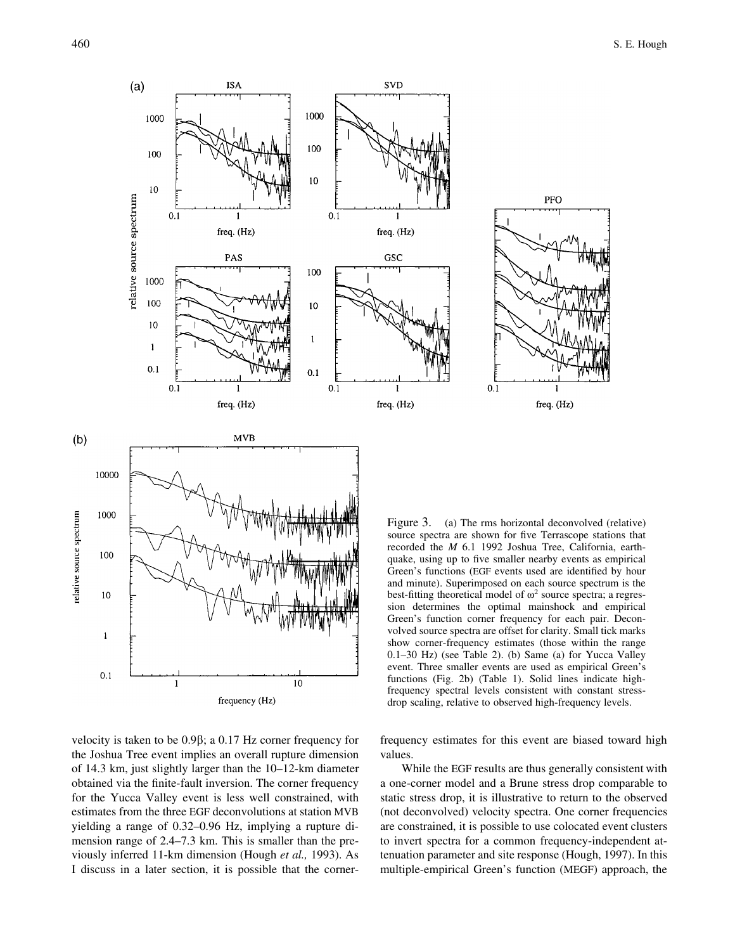PFO

freq. (Hz)



velocity is taken to be  $0.9\beta$ ; a  $0.17$  Hz corner frequency for the Joshua Tree event implies an overall rupture dimension of 14.3 km, just slightly larger than the 10–12-km diameter obtained via the finite-fault inversion. The corner frequency for the Yucca Valley event is less well constrained, with estimates from the three EGF deconvolutions at station MVB yielding a range of 0.32–0.96 Hz, implying a rupture dimension range of 2.4–7.3 km. This is smaller than the previously inferred 11-km dimension (Hough *et al.,* 1993). As I discuss in a later section, it is possible that the corner-

recorded the *M* 6.1 1992 Joshua Tree, California, earthquake, using up to five smaller nearby events as empirical Green's functions (EGF events used are identified by hour and minute). Superimposed on each source spectrum is the best-fitting theoretical model of  $\omega^2$  source spectra; a regression determines the optimal mainshock and empirical Green's function corner frequency for each pair. Deconvolved source spectra are offset for clarity. Small tick marks show corner-frequency estimates (those within the range 0.1–30 Hz) (see Table 2). (b) Same (a) for Yucca Valley event. Three smaller events are used as empirical Green's functions (Fig. 2b) (Table 1). Solid lines indicate highfrequency spectral levels consistent with constant stressdrop scaling, relative to observed high-frequency levels.

frequency estimates for this event are biased toward high values.

While the EGF results are thus generally consistent with a one-corner model and a Brune stress drop comparable to static stress drop, it is illustrative to return to the observed (not deconvolved) velocity spectra. One corner frequencies are constrained, it is possible to use colocated event clusters to invert spectra for a common frequency-independent attenuation parameter and site response (Hough, 1997). In this multiple-empirical Green's function (MEGF) approach, the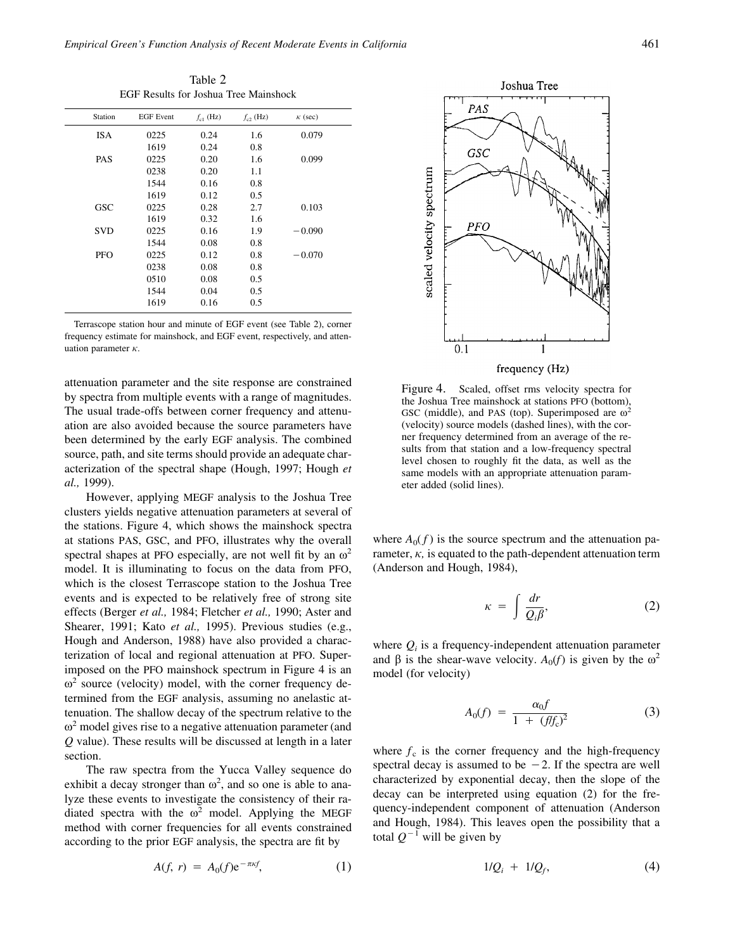Table 2 EGF Results for Joshua Tree Mainshock

| Station    | <b>EGF</b> Event | $f_{c1}$ (Hz) | $f_{c2}$ (Hz) | $\kappa$ (sec) |  |
|------------|------------------|---------------|---------------|----------------|--|
| <b>ISA</b> | 0225             | 0.24          | 1.6           | 0.079          |  |
|            | 1619             | 0.24          | 0.8           |                |  |
| <b>PAS</b> | 0225             | 0.20          | 1.6           | 0.099          |  |
|            | 0238             | 0.20          | 1.1           |                |  |
|            | 1544             | 0.16          | 0.8           |                |  |
|            | 1619             | 0.12          | 0.5           |                |  |
| <b>GSC</b> | 0225             | 0.28          | 2.7           | 0.103          |  |
|            | 1619             | 0.32          | 1.6           |                |  |
| <b>SVD</b> | 0225             | 0.16          | 1.9           | $-0.090$       |  |
|            | 1544             | 0.08          | 0.8           |                |  |
| <b>PFO</b> | 0225             | 0.12          | 0.8           | $-0.070$       |  |
|            | 0238             | 0.08          | 0.8           |                |  |
|            | 0510             | 0.08          | 0.5           |                |  |
|            | 1544             | 0.04          | 0.5           |                |  |
|            | 1619             | 0.16          | 0.5           |                |  |
|            |                  |               |               |                |  |

Terrascope station hour and minute of EGF event (see Table 2), corner frequency estimate for mainshock, and EGF event, respectively, and attenuation parameter  $\kappa$ .

attenuation parameter and the site response are constrained by spectra from multiple events with a range of magnitudes. The usual trade-offs between corner frequency and attenuation are also avoided because the source parameters have been determined by the early EGF analysis. The combined source, path, and site terms should provide an adequate characterization of the spectral shape (Hough, 1997; Hough *et al.,* 1999).

However, applying MEGF analysis to the Joshua Tree clusters yields negative attenuation parameters at several of the stations. Figure 4, which shows the mainshock spectra at stations PAS, GSC, and PFO, illustrates why the overall spectral shapes at PFO especially, are not well fit by an  $\omega^2$ model. It is illuminating to focus on the data from PFO, which is the closest Terrascope station to the Joshua Tree events and is expected to be relatively free of strong site effects (Berger *et al.,* 1984; Fletcher *et al.,* 1990; Aster and Shearer, 1991; Kato *et al.,* 1995). Previous studies (e.g., Hough and Anderson, 1988) have also provided a characterization of local and regional attenuation at PFO. Superimposed on the PFO mainshock spectrum in Figure 4 is an  $\omega^2$  source (velocity) model, with the corner frequency determined from the EGF analysis, assuming no anelastic attenuation. The shallow decay of the spectrum relative to the  $\omega^2$  model gives rise to a negative attenuation parameter (and *Q* value). These results will be discussed at length in a later section.

The raw spectra from the Yucca Valley sequence do exhibit a decay stronger than  $\omega^2$ , and so one is able to analyze these events to investigate the consistency of their radiated spectra with the  $\omega^2$  model. Applying the MEGF method with corner frequencies for all events constrained according to the prior EGF analysis, the spectra are fit by

$$
A(f, r) = A_0(f) e^{-\pi \kappa f}, \qquad (1)
$$



Figure 4. Scaled, offset rms velocity spectra for the Joshua Tree mainshock at stations PFO (bottom), GSC (middle), and PAS (top). Superimposed are  $\omega^2$ (velocity) source models (dashed lines), with the corner frequency determined from an average of the results from that station and a low-frequency spectral level chosen to roughly fit the data, as well as the same models with an appropriate attenuation parameter added (solid lines).

where  $A_0(f)$  is the source spectrum and the attenuation parameter,  $\kappa$ , is equated to the path-dependent attenuation term (Anderson and Hough, 1984),

$$
\kappa = \int \frac{dr}{Q_i \beta},\tag{2}
$$

where  $Q_i$  is a frequency-independent attenuation parameter and  $\beta$  is the shear-wave velocity. *A*<sub>0</sub>(*f*) is given by the  $\omega^2$ model (for velocity)

$$
A_0(f) = \frac{\alpha_0 f}{1 + (f/f_c)^2}
$$
 (3)

where  $f_c$  is the corner frequency and the high-frequency spectral decay is assumed to be  $-2$ . If the spectra are well characterized by exponential decay, then the slope of the decay can be interpreted using equation (2) for the frequency-independent component of attenuation (Anderson and Hough, 1984). This leaves open the possibility that a total  $Q^{-1}$  will be given by

$$
1/Q_i + 1/Q_f, \tag{4}
$$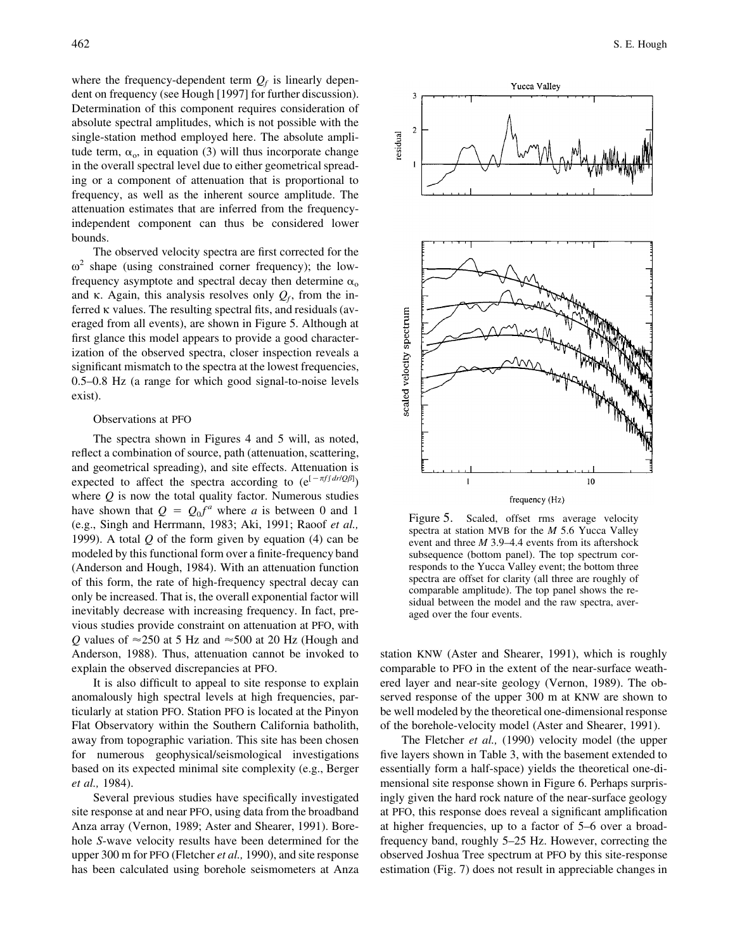where the frequency-dependent term  $Q_f$  is linearly dependent on frequency (see Hough [1997] for further discussion). Determination of this component requires consideration of absolute spectral amplitudes, which is not possible with the single-station method employed here. The absolute amplitude term,  $\alpha_o$ , in equation (3) will thus incorporate change in the overall spectral level due to either geometrical spreading or a component of attenuation that is proportional to frequency, as well as the inherent source amplitude. The attenuation estimates that are inferred from the frequency-

bounds. The observed velocity spectra are first corrected for the  $\omega^2$  shape (using constrained corner frequency); the lowfrequency asymptote and spectral decay then determine  $\alpha_0$ and  $\kappa$ . Again, this analysis resolves only  $Q_f$ , from the inferred  $\kappa$  values. The resulting spectral fits, and residuals (averaged from all events), are shown in Figure 5. Although at first glance this model appears to provide a good characterization of the observed spectra, closer inspection reveals a significant mismatch to the spectra at the lowest frequencies, 0.5–0.8 Hz (a range for which good signal-to-noise levels exist).

independent component can thus be considered lower

#### Observations at PFO

The spectra shown in Figures 4 and 5 will, as noted, reflect a combination of source, path (attenuation, scattering, and geometrical spreading), and site effects. Attenuation is expected to affect the spectra according to  $(e^{[-\pi f f dr/Q\beta]})$ where  $Q$  is now the total quality factor. Numerous studies have shown that  $Q = Q_0 f^a$  where *a* is between 0 and 1 (e.g., Singh and Herrmann, 1983; Aki, 1991; Raoof *et al.,* 1999). A total *Q* of the form given by equation (4) can be modeled by this functional form over a finite-frequency band (Anderson and Hough, 1984). With an attenuation function of this form, the rate of high-frequency spectral decay can only be increased. That is, the overall exponential factor will inevitably decrease with increasing frequency. In fact, previous studies provide constraint on attenuation at PFO, with *Q* values of  $\approx$  250 at 5 Hz and  $\approx$  500 at 20 Hz (Hough and Anderson, 1988). Thus, attenuation cannot be invoked to explain the observed discrepancies at PFO.

It is also difficult to appeal to site response to explain anomalously high spectral levels at high frequencies, particularly at station PFO. Station PFO is located at the Pinyon Flat Observatory within the Southern California batholith, away from topographic variation. This site has been chosen for numerous geophysical/seismological investigations based on its expected minimal site complexity (e.g., Berger *et al.,* 1984).

Several previous studies have specifically investigated site response at and near PFO, using data from the broadband Anza array (Vernon, 1989; Aster and Shearer, 1991). Borehole *S*-wave velocity results have been determined for the upper 300 m for PFO (Fletcher *et al.,* 1990), and site response has been calculated using borehole seismometers at Anza



Figure 5. Scaled, offset rms average velocity spectra at station MVB for the *M* 5.6 Yucca Valley event and three *M* 3.9–4.4 events from its aftershock subsequence (bottom panel). The top spectrum corresponds to the Yucca Valley event; the bottom three spectra are offset for clarity (all three are roughly of comparable amplitude). The top panel shows the residual between the model and the raw spectra, averaged over the four events.

station KNW (Aster and Shearer, 1991), which is roughly comparable to PFO in the extent of the near-surface weathered layer and near-site geology (Vernon, 1989). The observed response of the upper 300 m at KNW are shown to be well modeled by the theoretical one-dimensional response of the borehole-velocity model (Aster and Shearer, 1991).

The Fletcher *et al.,* (1990) velocity model (the upper five layers shown in Table 3, with the basement extended to essentially form a half-space) yields the theoretical one-dimensional site response shown in Figure 6. Perhaps surprisingly given the hard rock nature of the near-surface geology at PFO, this response does reveal a significant amplification at higher frequencies, up to a factor of 5–6 over a broadfrequency band, roughly 5–25 Hz. However, correcting the observed Joshua Tree spectrum at PFO by this site-response estimation (Fig. 7) does not result in appreciable changes in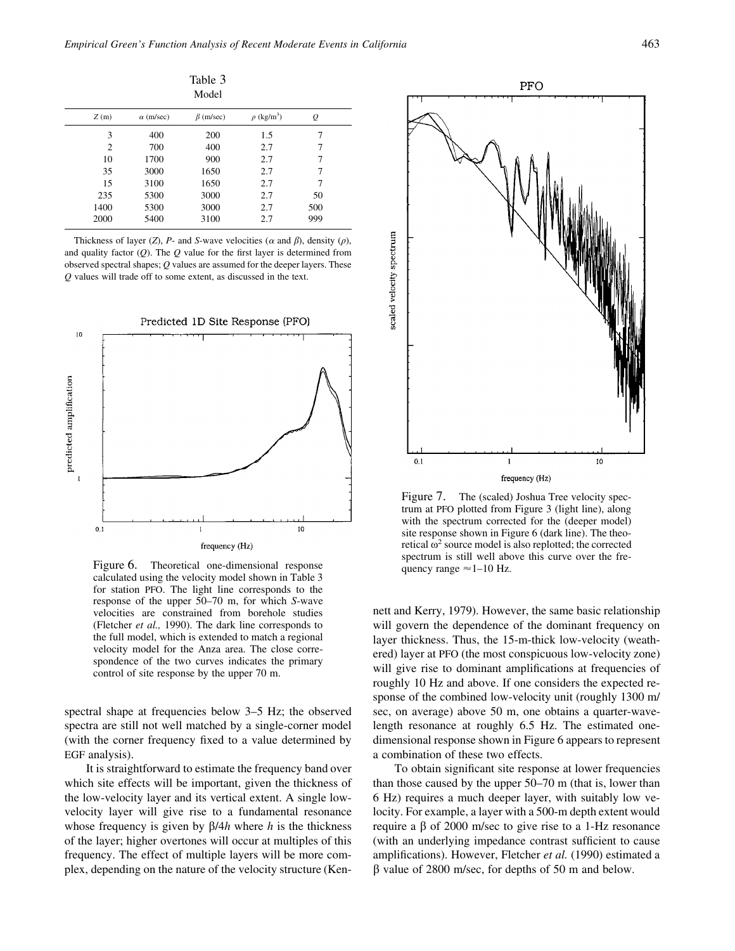|                |                  | Table 3<br>Model |                             |           |  |
|----------------|------------------|------------------|-----------------------------|-----------|--|
| Z(m)           | $\alpha$ (m/sec) | $\beta$ (m/sec)  | $\rho$ (kg/m <sup>3</sup> ) | $\varrho$ |  |
| 3              | 400              | 200              | 1.5                         | 7         |  |
| $\overline{2}$ | 700              | 400              | 2.7                         | 7         |  |
| 10             | 1700             | 900              | 2.7                         | 7         |  |
| 35             | 3000             | 1650             | 2.7                         | 7         |  |
| 15             | 3100             | 1650             | 2.7                         | 7         |  |
| 235            | 5300             | 3000             | 2.7                         | 50        |  |
| 1400           | 5300             | 3000             | 2.7                         | 500       |  |
| 2000           | 5400             | 3100             | 2.7                         | 999       |  |

Thickness of layer (*Z*), *P*- and *S*-wave velocities ( $\alpha$  and  $\beta$ ), density ( $\rho$ ), and quality factor (*Q*). The *Q* value for the first layer is determined from observed spectral shapes; *Q* values are assumed for the deeper layers. These *Q* values will trade off to some extent, as discussed in the text.



Figure 6. Theoretical one-dimensional response calculated using the velocity model shown in Table 3 for station PFO. The light line corresponds to the response of the upper 50–70 m, for which *S*-wave velocities are constrained from borehole studies (Fletcher *et al.,* 1990). The dark line corresponds to the full model, which is extended to match a regional velocity model for the Anza area. The close correspondence of the two curves indicates the primary control of site response by the upper 70 m.

spectral shape at frequencies below 3–5 Hz; the observed spectra are still not well matched by a single-corner model (with the corner frequency fixed to a value determined by EGF analysis).

It is straightforward to estimate the frequency band over which site effects will be important, given the thickness of the low-velocity layer and its vertical extent. A single lowvelocity layer will give rise to a fundamental resonance whose frequency is given by  $\beta$ /4*h* where *h* is the thickness of the layer; higher overtones will occur at multiples of this frequency. The effect of multiple layers will be more complex, depending on the nature of the velocity structure (Ken-



Figure 7. The (scaled) Joshua Tree velocity spectrum at PFO plotted from Figure 3 (light line), along with the spectrum corrected for the (deeper model) site response shown in Figure 6 (dark line). The theoretical  $\omega^2$  source model is also replotted; the corrected spectrum is still well above this curve over the frequency range  $\approx$  1–10 Hz.

nett and Kerry, 1979). However, the same basic relationship will govern the dependence of the dominant frequency on layer thickness. Thus, the 15-m-thick low-velocity (weathered) layer at PFO (the most conspicuous low-velocity zone) will give rise to dominant amplifications at frequencies of roughly 10 Hz and above. If one considers the expected response of the combined low-velocity unit (roughly 1300 m/ sec, on average) above 50 m, one obtains a quarter-wavelength resonance at roughly 6.5 Hz. The estimated onedimensional response shown in Figure 6 appears to represent a combination of these two effects.

To obtain significant site response at lower frequencies than those caused by the upper 50–70 m (that is, lower than 6 Hz) requires a much deeper layer, with suitably low velocity. For example, a layer with a 500-m depth extent would require a  $\beta$  of 2000 m/sec to give rise to a 1-Hz resonance (with an underlying impedance contrast sufficient to cause amplifications). However, Fletcher *et al.* (1990) estimated a  $\beta$  value of 2800 m/sec, for depths of 50 m and below.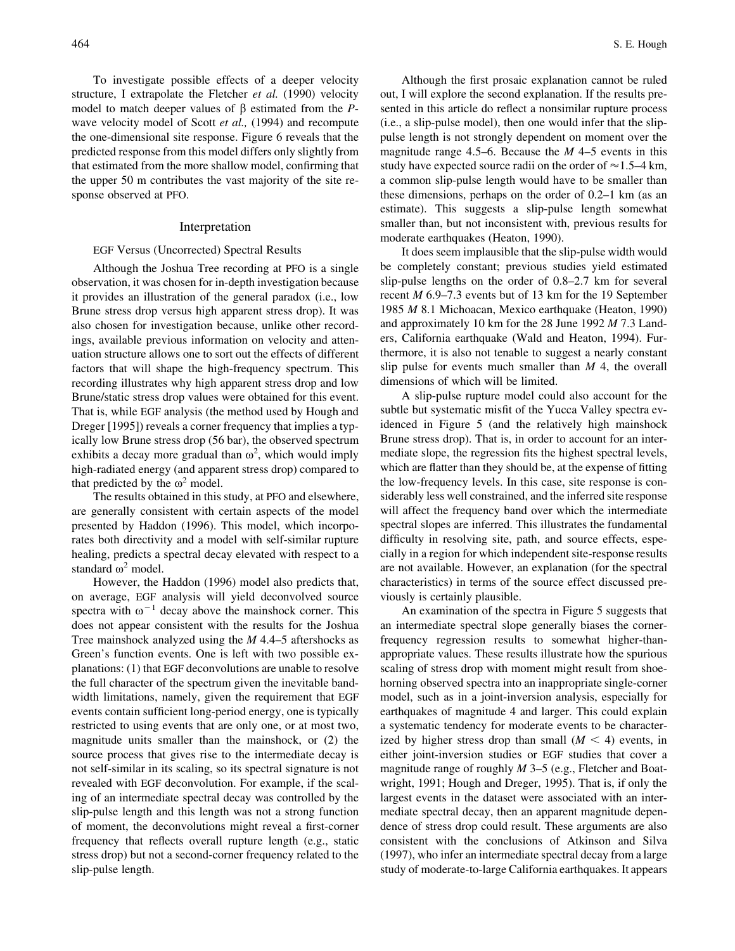To investigate possible effects of a deeper velocity structure, I extrapolate the Fletcher *et al.* (1990) velocity model to match deeper values of  $\beta$  estimated from the *P*wave velocity model of Scott *et al.,* (1994) and recompute the one-dimensional site response. Figure 6 reveals that the predicted response from this model differs only slightly from that estimated from the more shallow model, confirming that the upper 50 m contributes the vast majority of the site response observed at PFO.

#### Interpretation

#### EGF Versus (Uncorrected) Spectral Results

Although the Joshua Tree recording at PFO is a single observation, it was chosen for in-depth investigation because it provides an illustration of the general paradox (i.e., low Brune stress drop versus high apparent stress drop). It was also chosen for investigation because, unlike other recordings, available previous information on velocity and attenuation structure allows one to sort out the effects of different factors that will shape the high-frequency spectrum. This recording illustrates why high apparent stress drop and low Brune/static stress drop values were obtained for this event. That is, while EGF analysis (the method used by Hough and Dreger [1995]) reveals a corner frequency that implies a typically low Brune stress drop (56 bar), the observed spectrum exhibits a decay more gradual than  $\omega^2$ , which would imply high-radiated energy (and apparent stress drop) compared to that predicted by the  $\omega^2$  model.

The results obtained in this study, at PFO and elsewhere, are generally consistent with certain aspects of the model presented by Haddon (1996). This model, which incorporates both directivity and a model with self-similar rupture healing, predicts a spectral decay elevated with respect to a standard  $\omega^2$  model.

However, the Haddon (1996) model also predicts that, on average, EGF analysis will yield deconvolved source spectra with  $\omega^{-1}$  decay above the mainshock corner. This does not appear consistent with the results for the Joshua Tree mainshock analyzed using the *M* 4.4–5 aftershocks as Green's function events. One is left with two possible explanations: (1) that EGF deconvolutions are unable to resolve the full character of the spectrum given the inevitable bandwidth limitations, namely, given the requirement that EGF events contain sufficient long-period energy, one is typically restricted to using events that are only one, or at most two, magnitude units smaller than the mainshock, or (2) the source process that gives rise to the intermediate decay is not self-similar in its scaling, so its spectral signature is not revealed with EGF deconvolution. For example, if the scaling of an intermediate spectral decay was controlled by the slip-pulse length and this length was not a strong function of moment, the deconvolutions might reveal a first-corner frequency that reflects overall rupture length (e.g., static stress drop) but not a second-corner frequency related to the slip-pulse length.

Although the first prosaic explanation cannot be ruled out, I will explore the second explanation. If the results presented in this article do reflect a nonsimilar rupture process (i.e., a slip-pulse model), then one would infer that the slippulse length is not strongly dependent on moment over the magnitude range 4.5–6. Because the *M* 4–5 events in this study have expected source radii on the order of  $\approx 1.5-4$  km, a common slip-pulse length would have to be smaller than these dimensions, perhaps on the order of 0.2–1 km (as an estimate). This suggests a slip-pulse length somewhat smaller than, but not inconsistent with, previous results for moderate earthquakes (Heaton, 1990).

It does seem implausible that the slip-pulse width would be completely constant; previous studies yield estimated slip-pulse lengths on the order of 0.8–2.7 km for several recent *M* 6.9–7.3 events but of 13 km for the 19 September 1985 *M* 8.1 Michoacan, Mexico earthquake (Heaton, 1990) and approximately 10 km for the 28 June 1992 *M* 7.3 Landers, California earthquake (Wald and Heaton, 1994). Furthermore, it is also not tenable to suggest a nearly constant slip pulse for events much smaller than *M* 4, the overall dimensions of which will be limited.

A slip-pulse rupture model could also account for the subtle but systematic misfit of the Yucca Valley spectra evidenced in Figure 5 (and the relatively high mainshock Brune stress drop). That is, in order to account for an intermediate slope, the regression fits the highest spectral levels, which are flatter than they should be, at the expense of fitting the low-frequency levels. In this case, site response is considerably less well constrained, and the inferred site response will affect the frequency band over which the intermediate spectral slopes are inferred. This illustrates the fundamental difficulty in resolving site, path, and source effects, especially in a region for which independent site-response results are not available. However, an explanation (for the spectral characteristics) in terms of the source effect discussed previously is certainly plausible.

An examination of the spectra in Figure 5 suggests that an intermediate spectral slope generally biases the cornerfrequency regression results to somewhat higher-thanappropriate values. These results illustrate how the spurious scaling of stress drop with moment might result from shoehorning observed spectra into an inappropriate single-corner model, such as in a joint-inversion analysis, especially for earthquakes of magnitude 4 and larger. This could explain a systematic tendency for moderate events to be characterized by higher stress drop than small  $(M < 4)$  events, in either joint-inversion studies or EGF studies that cover a magnitude range of roughly *M* 3–5 (e.g., Fletcher and Boatwright, 1991; Hough and Dreger, 1995). That is, if only the largest events in the dataset were associated with an intermediate spectral decay, then an apparent magnitude dependence of stress drop could result. These arguments are also consistent with the conclusions of Atkinson and Silva (1997), who infer an intermediate spectral decay from a large study of moderate-to-large California earthquakes. It appears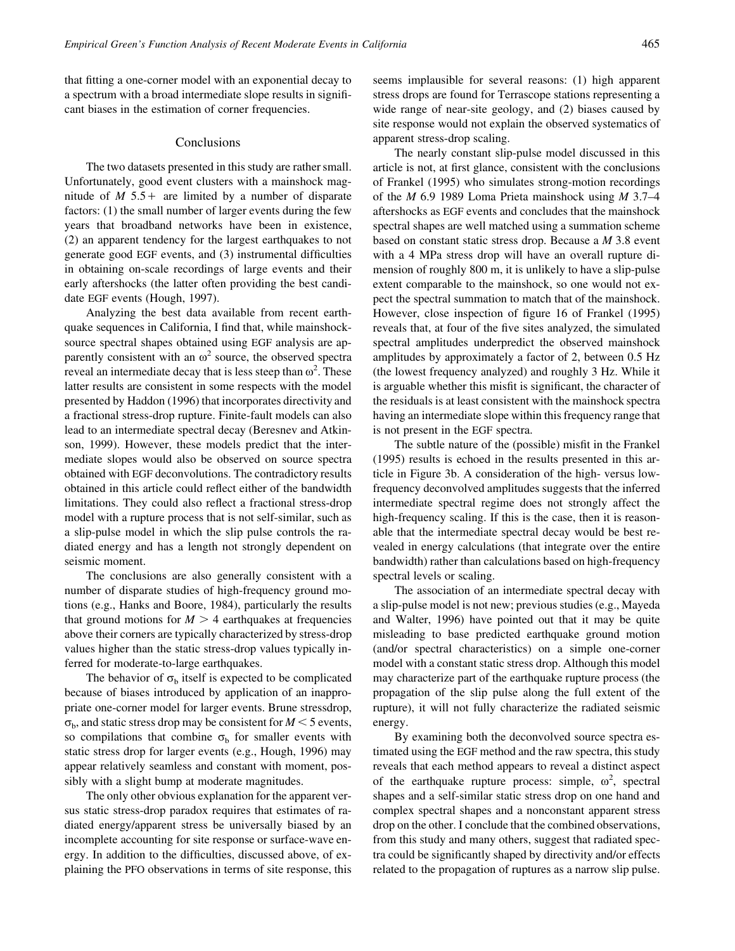that fitting a one-corner model with an exponential decay to a spectrum with a broad intermediate slope results in significant biases in the estimation of corner frequencies.

#### Conclusions

The two datasets presented in this study are rather small. Unfortunately, good event clusters with a mainshock magnitude of  $M$  5.5 + are limited by a number of disparate factors: (1) the small number of larger events during the few years that broadband networks have been in existence, (2) an apparent tendency for the largest earthquakes to not generate good EGF events, and (3) instrumental difficulties in obtaining on-scale recordings of large events and their early aftershocks (the latter often providing the best candidate EGF events (Hough, 1997).

Analyzing the best data available from recent earthquake sequences in California, I find that, while mainshocksource spectral shapes obtained using EGF analysis are apparently consistent with an  $\omega^2$  source, the observed spectra reveal an intermediate decay that is less steep than  $\omega^2$ . These latter results are consistent in some respects with the model presented by Haddon (1996) that incorporates directivity and a fractional stress-drop rupture. Finite-fault models can also lead to an intermediate spectral decay (Beresnev and Atkinson, 1999). However, these models predict that the intermediate slopes would also be observed on source spectra obtained with EGF deconvolutions. The contradictory results obtained in this article could reflect either of the bandwidth limitations. They could also reflect a fractional stress-drop model with a rupture process that is not self-similar, such as a slip-pulse model in which the slip pulse controls the radiated energy and has a length not strongly dependent on seismic moment.

The conclusions are also generally consistent with a number of disparate studies of high-frequency ground motions (e.g., Hanks and Boore, 1984), particularly the results that ground motions for  $M > 4$  earthquakes at frequencies above their corners are typically characterized by stress-drop values higher than the static stress-drop values typically inferred for moderate-to-large earthquakes.

The behavior of  $\sigma_b$  itself is expected to be complicated because of biases introduced by application of an inappropriate one-corner model for larger events. Brune stressdrop,  $\sigma_{\rm b}$ , and static stress drop may be consistent for *M*  $\leq$  5 events, so compilations that combine  $\sigma_b$  for smaller events with static stress drop for larger events (e.g., Hough, 1996) may appear relatively seamless and constant with moment, possibly with a slight bump at moderate magnitudes.

The only other obvious explanation for the apparent versus static stress-drop paradox requires that estimates of radiated energy/apparent stress be universally biased by an incomplete accounting for site response or surface-wave energy. In addition to the difficulties, discussed above, of explaining the PFO observations in terms of site response, this seems implausible for several reasons: (1) high apparent stress drops are found for Terrascope stations representing a wide range of near-site geology, and (2) biases caused by site response would not explain the observed systematics of apparent stress-drop scaling.

The nearly constant slip-pulse model discussed in this article is not, at first glance, consistent with the conclusions of Frankel (1995) who simulates strong-motion recordings of the *M* 6.9 1989 Loma Prieta mainshock using *M* 3.7–4 aftershocks as EGF events and concludes that the mainshock spectral shapes are well matched using a summation scheme based on constant static stress drop. Because a *M* 3.8 event with a 4 MPa stress drop will have an overall rupture dimension of roughly 800 m, it is unlikely to have a slip-pulse extent comparable to the mainshock, so one would not expect the spectral summation to match that of the mainshock. However, close inspection of figure 16 of Frankel (1995) reveals that, at four of the five sites analyzed, the simulated spectral amplitudes underpredict the observed mainshock amplitudes by approximately a factor of 2, between 0.5 Hz (the lowest frequency analyzed) and roughly 3 Hz. While it is arguable whether this misfit is significant, the character of the residuals is at least consistent with the mainshock spectra having an intermediate slope within this frequency range that is not present in the EGF spectra.

The subtle nature of the (possible) misfit in the Frankel (1995) results is echoed in the results presented in this article in Figure 3b. A consideration of the high- versus lowfrequency deconvolved amplitudes suggests that the inferred intermediate spectral regime does not strongly affect the high-frequency scaling. If this is the case, then it is reasonable that the intermediate spectral decay would be best revealed in energy calculations (that integrate over the entire bandwidth) rather than calculations based on high-frequency spectral levels or scaling.

The association of an intermediate spectral decay with a slip-pulse model is not new; previous studies (e.g., Mayeda and Walter, 1996) have pointed out that it may be quite misleading to base predicted earthquake ground motion (and/or spectral characteristics) on a simple one-corner model with a constant static stress drop. Although this model may characterize part of the earthquake rupture process (the propagation of the slip pulse along the full extent of the rupture), it will not fully characterize the radiated seismic energy.

By examining both the deconvolved source spectra estimated using the EGF method and the raw spectra, this study reveals that each method appears to reveal a distinct aspect of the earthquake rupture process: simple,  $\omega^2$ , spectral shapes and a self-similar static stress drop on one hand and complex spectral shapes and a nonconstant apparent stress drop on the other. I conclude that the combined observations, from this study and many others, suggest that radiated spectra could be significantly shaped by directivity and/or effects related to the propagation of ruptures as a narrow slip pulse.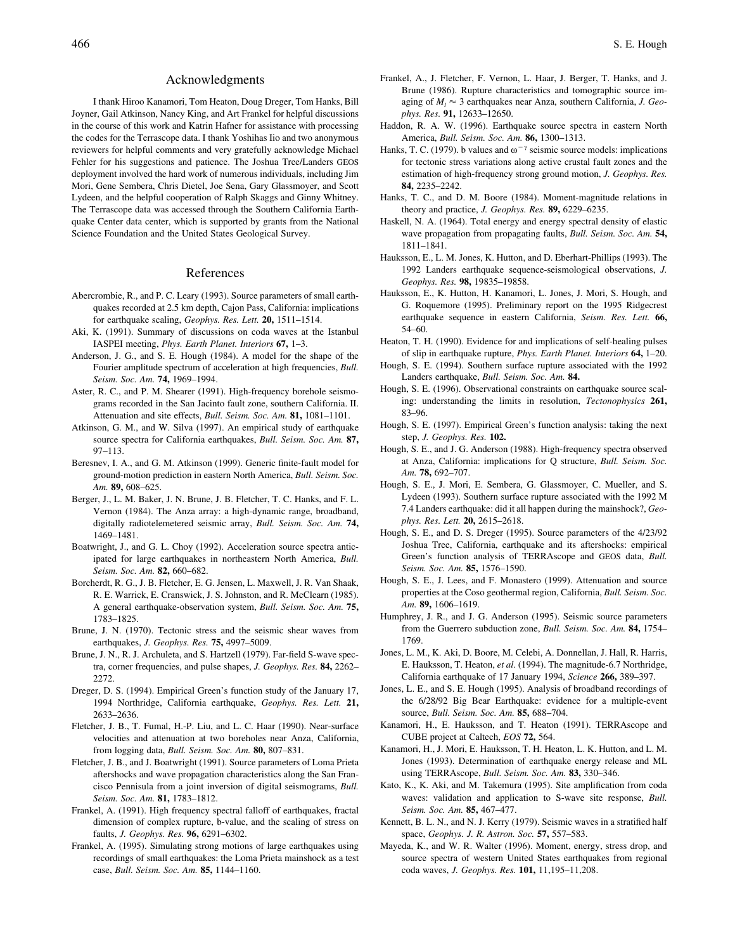#### Acknowledgments

I thank Hiroo Kanamori, Tom Heaton, Doug Dreger, Tom Hanks, Bill Joyner, Gail Atkinson, Nancy King, and Art Frankel for helpful discussions in the course of this work and Katrin Hafner for assistance with processing the codes for the Terrascope data. I thank Yoshihas Iio and two anonymous reviewers for helpful comments and very gratefully acknowledge Michael Fehler for his suggestions and patience. The Joshua Tree/Landers GEOS deployment involved the hard work of numerous individuals, including Jim Mori, Gene Sembera, Chris Dietel, Joe Sena, Gary Glassmoyer, and Scott Lydeen, and the helpful cooperation of Ralph Skaggs and Ginny Whitney. The Terrascope data was accessed through the Southern California Earthquake Center data center, which is supported by grants from the National Science Foundation and the United States Geological Survey.

#### References

- Abercrombie, R., and P. C. Leary (1993). Source parameters of small earthquakes recorded at 2.5 km depth, Cajon Pass, California: implications for earthquake scaling, *Geophys. Res. Lett.* **20,** 1511–1514.
- Aki, K. (1991). Summary of discussions on coda waves at the Istanbul IASPEI meeting, *Phys. Earth Planet. Interiors* **67,** 1–3.
- Anderson, J. G., and S. E. Hough (1984). A model for the shape of the Fourier amplitude spectrum of acceleration at high frequencies, *Bull. Seism. Soc. Am.* **74,** 1969–1994.
- Aster, R. C., and P. M. Shearer (1991). High-frequency borehole seismograms recorded in the San Jacinto fault zone, southern California. II. Attenuation and site effects, *Bull. Seism. Soc. Am.* **81,** 1081–1101.
- Atkinson, G. M., and W. Silva (1997). An empirical study of earthquake source spectra for California earthquakes, *Bull. Seism. Soc. Am.* **87,** 97–113.
- Beresnev, I. A., and G. M. Atkinson (1999). Generic finite-fault model for ground-motion prediction in eastern North America, *Bull. Seism. Soc. Am.* **89,** 608–625.
- Berger, J., L. M. Baker, J. N. Brune, J. B. Fletcher, T. C. Hanks, and F. L. Vernon (1984). The Anza array: a high-dynamic range, broadband, digitally radiotelemetered seismic array, *Bull. Seism. Soc. Am.* **74,** 1469–1481.
- Boatwright, J., and G. L. Choy (1992). Acceleration source spectra anticipated for large earthquakes in northeastern North America, *Bull. Seism. Soc. Am.* **82,** 660–682.
- Borcherdt, R. G., J. B. Fletcher, E. G. Jensen, L. Maxwell, J. R. Van Shaak, R. E. Warrick, E. Cranswick, J. S. Johnston, and R. McClearn (1985). A general earthquake-observation system, *Bull. Seism. Soc. Am.* **75,** 1783–1825.
- Brune, J. N. (1970). Tectonic stress and the seismic shear waves from earthquakes, *J. Geophys. Res.* **75,** 4997–5009.
- Brune, J. N., R. J. Archuleta, and S. Hartzell (1979). Far-field S-wave spectra, corner frequencies, and pulse shapes, *J. Geophys. Res.* **84,** 2262– 2272.
- Dreger, D. S. (1994). Empirical Green's function study of the January 17, 1994 Northridge, California earthquake, *Geophys. Res. Lett.* **21,** 2633–2636.
- Fletcher, J. B., T. Fumal, H.-P. Liu, and L. C. Haar (1990). Near-surface velocities and attenuation at two boreholes near Anza, California, from logging data, *Bull. Seism. Soc. Am.* **80,** 807–831.
- Fletcher, J. B., and J. Boatwright (1991). Source parameters of Loma Prieta aftershocks and wave propagation characteristics along the San Francisco Pennisula from a joint inversion of digital seismograms, *Bull. Seism. Soc. Am.* **81,** 1783–1812.
- Frankel, A. (1991). High frequency spectral falloff of earthquakes, fractal dimension of complex rupture, b-value, and the scaling of stress on faults, *J. Geophys. Res.* **96,** 6291–6302.
- Frankel, A. (1995). Simulating strong motions of large earthquakes using recordings of small earthquakes: the Loma Prieta mainshock as a test case, *Bull. Seism. Soc. Am.* **85,** 1144–1160.
- Frankel, A., J. Fletcher, F. Vernon, L. Haar, J. Berger, T. Hanks, and J. Brune (1986). Rupture characteristics and tomographic source imaging of  $M_l \approx 3$  earthquakes near Anza, southern California, *J. Geophys. Res.* **91,** 12633–12650.
- Haddon, R. A. W. (1996). Earthquake source spectra in eastern North America, *Bull. Seism. Soc. Am.* **86,** 1300–1313.
- Hanks, T. C. (1979). b values and  $\omega^{-\gamma}$  seismic source models: implications for tectonic stress variations along active crustal fault zones and the estimation of high-frequency strong ground motion, *J. Geophys. Res.* **84,** 2235–2242.
- Hanks, T. C., and D. M. Boore (1984). Moment-magnitude relations in theory and practice, *J. Geophys. Res.* **89,** 6229–6235.
- Haskell, N. A. (1964). Total energy and energy spectral density of elastic wave propagation from propagating faults, *Bull. Seism. Soc. Am.* **54,** 1811–1841.
- Hauksson, E., L. M. Jones, K. Hutton, and D. Eberhart-Phillips (1993). The 1992 Landers earthquake sequence-seismological observations, *J. Geophys. Res.* **98,** 19835–19858.
- Hauksson, E., K. Hutton, H. Kanamori, L. Jones, J. Mori, S. Hough, and G. Roquemore (1995). Preliminary report on the 1995 Ridgecrest earthquake sequence in eastern California, *Seism. Res. Lett.* **66,** 54–60.
- Heaton, T. H. (1990). Evidence for and implications of self-healing pulses of slip in earthquake rupture, *Phys. Earth Planet. Interiors* **64,** 1–20.
- Hough, S. E. (1994). Southern surface rupture associated with the 1992 Landers earthquake, *Bull. Seism. Soc. Am.* **84.**
- Hough, S. E. (1996). Observational constraints on earthquake source scaling: understanding the limits in resolution, *Tectonophysics* **261,** 83–96.
- Hough, S. E. (1997). Empirical Green's function analysis: taking the next step, *J. Geophys. Res.* **102.**
- Hough, S. E., and J. G. Anderson (1988). High-frequency spectra observed at Anza, California: implications for Q structure, *Bull. Seism. Soc. Am.* **78,** 692–707.
- Hough, S. E., J. Mori, E. Sembera, G. Glassmoyer, C. Mueller, and S. Lydeen (1993). Southern surface rupture associated with the 1992 M 7.4 Landers earthquake: did it all happen during the mainshock?, *Geophys. Res. Lett.* **20,** 2615–2618.
- Hough, S. E., and D. S. Dreger (1995). Source parameters of the 4/23/92 Joshua Tree, California, earthquake and its aftershocks: empirical Green's function analysis of TERRAscope and GEOS data, *Bull. Seism. Soc. Am.* **85,** 1576–1590.
- Hough, S. E., J. Lees, and F. Monastero (1999). Attenuation and source properties at the Coso geothermal region, California, *Bull. Seism. Soc. Am.* **89,** 1606–1619.
- Humphrey, J. R., and J. G. Anderson (1995). Seismic source parameters from the Guerrero subduction zone, *Bull. Seism. Soc. Am.* **84,** 1754– 1769.
- Jones, L. M., K. Aki, D. Boore, M. Celebi, A. Donnellan, J. Hall, R. Harris, E. Hauksson, T. Heaton, *et al.* (1994). The magnitude-6.7 Northridge, California earthquake of 17 January 1994, *Science* **266,** 389–397.
- Jones, L. E., and S. E. Hough (1995). Analysis of broadband recordings of the 6/28/92 Big Bear Earthquake: evidence for a multiple-event source, *Bull. Seism. Soc. Am.* **85,** 688–704.
- Kanamori, H., E. Hauksson, and T. Heaton (1991). TERRAscope and CUBE project at Caltech, *EOS* **72,** 564.
- Kanamori, H., J. Mori, E. Hauksson, T. H. Heaton, L. K. Hutton, and L. M. Jones (1993). Determination of earthquake energy release and ML using TERRAscope, *Bull. Seism. Soc. Am.* **83,** 330–346.
- Kato, K., K. Aki, and M. Takemura (1995). Site amplification from coda waves: validation and application to S-wave site response, *Bull. Seism. Soc. Am.* **85,** 467–477.
- Kennett, B. L. N., and N. J. Kerry (1979). Seismic waves in a stratified half space, *Geophys. J. R. Astron. Soc.* **57,** 557–583.
- Mayeda, K., and W. R. Walter (1996). Moment, energy, stress drop, and source spectra of western United States earthquakes from regional coda waves, *J. Geophys. Res.* **101,** 11,195–11,208.